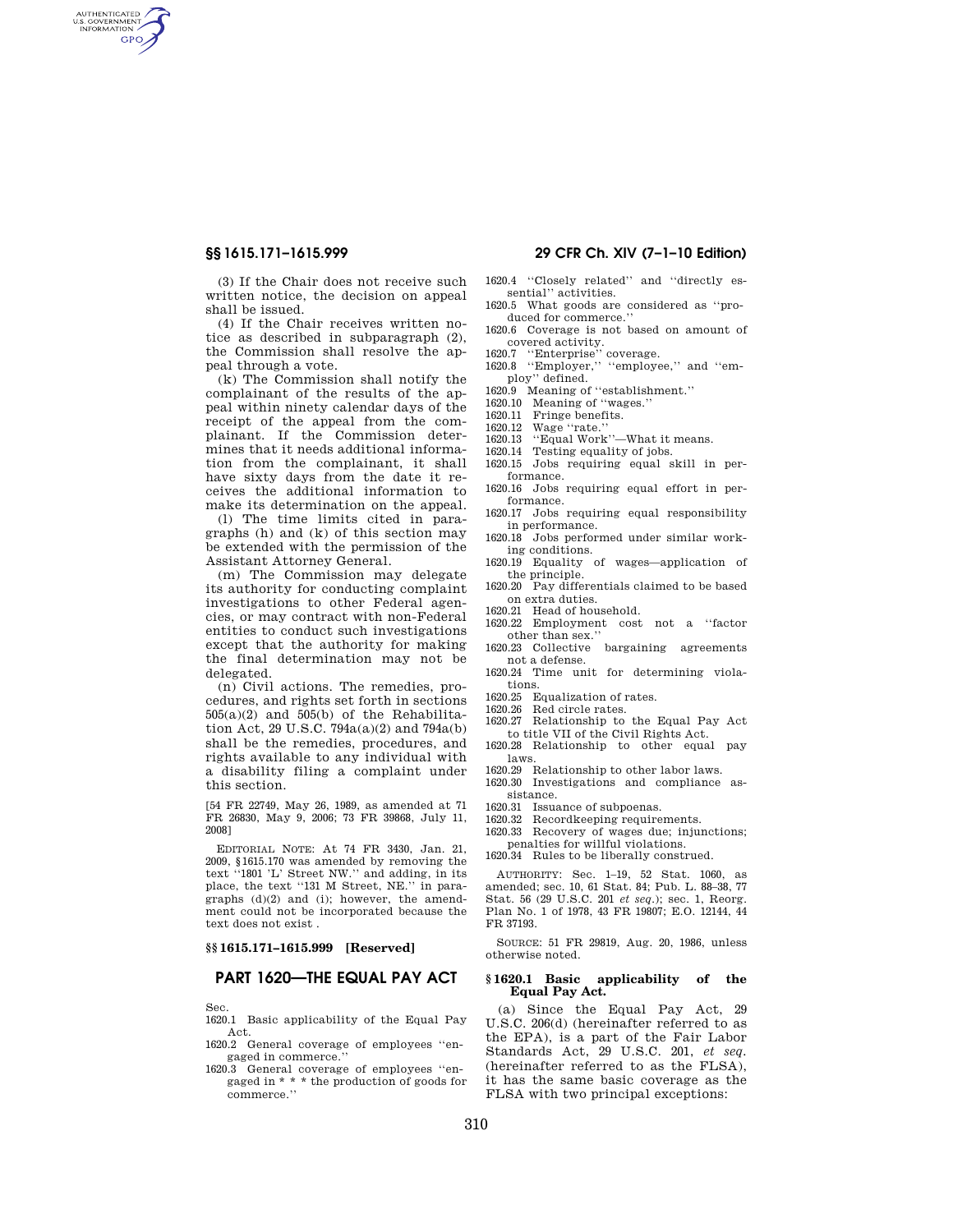AUTHENTICATED **GPO** 

> (3) If the Chair does not receive such written notice, the decision on appeal shall be issued.

> (4) If the Chair receives written notice as described in subparagraph (2), the Commission shall resolve the appeal through a vote.

> (k) The Commission shall notify the complainant of the results of the appeal within ninety calendar days of the receipt of the appeal from the complainant. If the Commission determines that it needs additional information from the complainant, it shall have sixty days from the date it receives the additional information to make its determination on the appeal.

> (l) The time limits cited in paragraphs (h) and (k) of this section may be extended with the permission of the Assistant Attorney General.

> (m) The Commission may delegate its authority for conducting complaint investigations to other Federal agencies, or may contract with non-Federal entities to conduct such investigations except that the authority for making the final determination may not be delegated.

> (n) Civil actions. The remedies, procedures, and rights set forth in sections  $505(a)(2)$  and  $505(b)$  of the Rehabilitation Act, 29 U.S.C. 794a(a)(2) and 794a(b) shall be the remedies, procedures, and rights available to any individual with a disability filing a complaint under this section.

> [54 FR 22749, May 26, 1989, as amended at 71 FR 26830, May 9, 2006; 73 FR 39868, July 11, 2008]

> EDITORIAL NOTE: At 74 FR 3430, Jan. 21, 2009, §1615.170 was amended by removing the text ''1801 'L' Street NW.'' and adding, in its place, the text ''131 M Street, NE.'' in paragraphs (d)(2) and (i); however, the amendment could not be incorporated because the text does not exist .

## **§§ 1615.171–1615.999 [Reserved]**

# **PART 1620—THE EQUAL PAY ACT**

Sec.

1620.1 Basic applicability of the Equal Pay Act.

- 1620.2 General coverage of employees ''engaged in commerce.
- 1620.3 General coverage of employees ''engaged in \* \* \* the production of goods for commerce.''

# **§§ 1615.171–1615.999 29 CFR Ch. XIV (7–1–10 Edition)**

- 1620.4 ''Closely related'' and ''directly essential'' activities.
- 1620.5 What goods are considered as ''produced for commerce.
- 1620.6 Coverage is not based on amount of
- covered activity. 1620.7 ''Enterprise'' coverage. 1620.8 ''Employer,'' ''employee,'' and ''em-
- ploy'' defined.
- 1620.9 Meaning of ''establishment.''
- 1620.10 Meaning of ''wages.''
- 1620.11 Fringe benefits.
- 1620.12 Wage "rate."<br>1620.13 "Equal Work"
- 1620.13 ''Equal Work''—What it means.
- 1620.14 Testing equality of jobs.
- 1620.15 Jobs requiring equal skill in performance.
- 1620.16 Jobs requiring equal effort in performance.
- 1620.17 Jobs requiring equal responsibility in performance.
- 1620.18 Jobs performed under similar working conditions.
- 1620.19 Equality of wages—application of the principle.
- 1620.20 Pay differentials claimed to be based on extra duties.
- 1620.21 Head of household.
- 1620.22 Employment cost not a ''factor other than sex.''
- 1620.23 Collective bargaining agreements not a defense.
- 1620.24 Time unit for determining violations.
- 1620.25 Equalization of rates.
- 1620.26 Red circle rates.
- 1620.27 Relationship to the Equal Pay Act to title VII of the Civil Rights Act.
- 1620.28 Relationship to other equal pay laws.
- 1620.29 Relationship to other labor laws.
- 1620.30 Investigations and compliance assistance.
- 1620.31 Issuance of subpoenas.
- 1620.32 Recordkeeping requirements.
- 1620.33 Recovery of wages due; injunctions; penalties for willful violations.
- 1620.34 Rules to be liberally construed.

AUTHORITY: Sec. 1–19, 52 Stat. 1060, as amended; sec. 10, 61 Stat. 84; Pub. L. 88–38, 77 Stat. 56 (29 U.S.C. 201 *et seq*.); sec. 1, Reorg. Plan No. 1 of 1978, 43 FR 19807; E.O. 12144, 44 FR 37193.

SOURCE: 51 FR 29819, Aug. 20, 1986, unless otherwise noted.

### **§ 1620.1 Basic applicability of the Equal Pay Act.**

(a) Since the Equal Pay Act, 29 U.S.C. 206(d) (hereinafter referred to as the EPA), is a part of the Fair Labor Standards Act, 29 U.S.C. 201, *et seq.*  (hereinafter referred to as the FLSA), it has the same basic coverage as the FLSA with two principal exceptions: